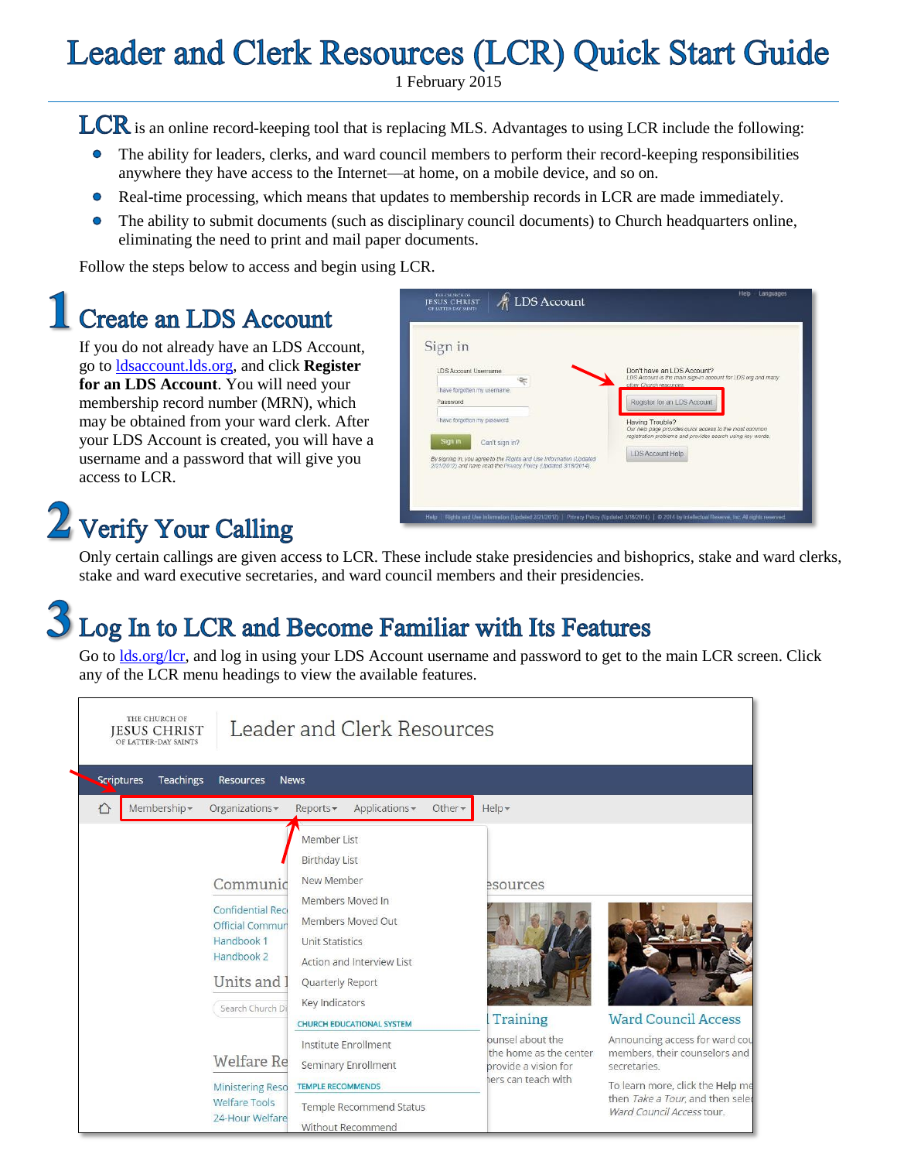## **Leader and Clerk Resources (LCR) Quick Start Guide**

1 February 2015

LCR is an online record-keeping tool that is replacing MLS. Advantages to using LCR include the following:

- The ability for leaders, clerks, and ward council members to perform their record-keeping responsibilities  $\bullet$ anywhere they have access to the Internet—at home, on a mobile device, and so on.
- $\bullet$ Real-time processing, which means that updates to membership records in LCR are made immediately.
- The ability to submit documents (such as disciplinary council documents) to Church headquarters online,  $\bullet$ eliminating the need to print and mail paper documents.

Follow the steps below to access and begin using LCR.

#### **Create an LDS Account**

If you do not already have an LDS Account, go to [ldsaccount.lds.org,](https://ldsaccount.lds.org/login) and click **Register for an LDS Account**. You will need your membership record number (MRN), which may be obtained from your ward clerk. After your LDS Account is created, you will have a username and a password that will give you access to LCR.

# $2$  Verify Your Calling

| Sign in                                                              |                                                               |
|----------------------------------------------------------------------|---------------------------------------------------------------|
| LDS Arrount Usemame                                                  | Don't have an LDS Account?                                    |
| I have forgotten my username.                                        | LDS Account is the main sign-in-account for LDS org and many. |
| Password                                                             | other Church resources.                                       |
| I have forgotten my password.                                        | Register for an LDS Account                                   |
| Sign in                                                              | Having Trouble?                                               |
| Can't sign in?                                                       | Our help page provides quick access to the most common        |
| By signing in, you agree to the Filghts and Use Information (Updated | realstration problems and provides search using key words.    |
| 2/21/2012) and have read the Privacy Policy (Updated 3/18/2014).     | LDS Account Help                                              |

Only certain callings are given access to LCR. These include stake presidencies and bishoprics, stake and ward clerks, stake and ward executive secretaries, and ward council members and their presidencies.

# $\mathcal S$  Log In to LCR and Become Familiar with Its Features<br>Go to <u>Ids.org/Icr</u>, and log in using your LDS Account username and password to get to the main LCR screen. Click

any of the LCR menu headings to view the available features.

| THE CHURCH OF<br>Leader and Clerk Resources<br><b>JESUS CHRIST</b><br>OF LATTER-DAY SAINTS                                    |                                                                                                                                                                                                                             |                                                                                          |                                                                                                                                                                                      |  |  |
|-------------------------------------------------------------------------------------------------------------------------------|-----------------------------------------------------------------------------------------------------------------------------------------------------------------------------------------------------------------------------|------------------------------------------------------------------------------------------|--------------------------------------------------------------------------------------------------------------------------------------------------------------------------------------|--|--|
| Scriptures<br><b>Teachings</b><br><b>Resources</b>                                                                            | <b>News</b>                                                                                                                                                                                                                 |                                                                                          |                                                                                                                                                                                      |  |  |
| Membership -<br>♦<br>Organizations -                                                                                          | Applications -<br>Other $\star$<br>Reports -                                                                                                                                                                                | $Help -$                                                                                 |                                                                                                                                                                                      |  |  |
| Communic<br><b>Confidential Reci</b><br><b>Official Commun</b><br>Handbook 1<br>Handbook 2<br>Units and I<br>Search Church Di | Member List<br><b>Birthday List</b><br>New Member<br>Members Moved In<br>Members Moved Out<br><b>Unit Statistics</b><br>Action and Interview List<br>Quarterly Report<br>Key Indicators<br><b>CHURCH EDUCATIONAL SYSTEM</b> | esources<br>Training                                                                     | <b>Ward Council Access</b>                                                                                                                                                           |  |  |
| <b>Welfare Re</b><br><b>Ministering Reso</b><br><b>Welfare Tools</b><br>24-Hour Welfare                                       | Institute Enrollment<br>Seminary Enrollment<br><b>TEMPLE RECOMMENDS</b><br><b>Temple Recommend Status</b><br>Without Recommend                                                                                              | ounsel about the<br>the home as the center<br>provide a vision for<br>ers can teach with | Announcing access for ward cou<br>members, their counselors and<br>secretaries.<br>To learn more, click the Help me<br>then Take a Tour, and then seled<br>Ward Council Access tour. |  |  |